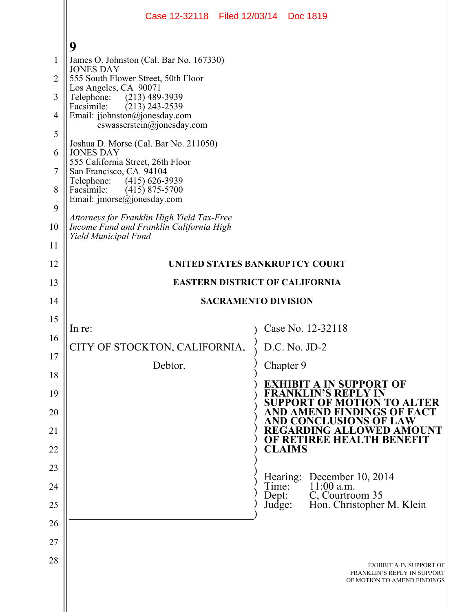|                | Case 12-32118 Filed 12/03/14 Doc 1819                                                     |                                                                                               |  |  |
|----------------|-------------------------------------------------------------------------------------------|-----------------------------------------------------------------------------------------------|--|--|
|                | 9                                                                                         |                                                                                               |  |  |
| 1              | James O. Johnston (Cal. Bar No. 167330)                                                   |                                                                                               |  |  |
| $\overline{2}$ | <b>JONES DAY</b><br>555 South Flower Street, 50th Floor                                   |                                                                                               |  |  |
| 3              | Los Angeles, CA 90071<br>$(213)$ 489-3939<br>Telephone:                                   |                                                                                               |  |  |
| $\overline{4}$ | Facsimile:<br>$(213)$ 243-2539<br>Email: jjohnston@jonesday.com                           |                                                                                               |  |  |
| 5              | cswasserstein@jonesday.com                                                                |                                                                                               |  |  |
| 6              | Joshua D. Morse (Cal. Bar No. 211050)<br><b>JONES DAY</b>                                 |                                                                                               |  |  |
| 7              | 555 California Street, 26th Floor<br>San Francisco, CA 94104                              |                                                                                               |  |  |
| 8              | Telephone: (415) 626-3939<br>Facsimile:<br>$(415)$ 875-5700<br>Email: jmorse@jonesday.com |                                                                                               |  |  |
| 9              | Attorneys for Franklin High Yield Tax-Free                                                |                                                                                               |  |  |
| 10             | Income Fund and Franklin California High<br>Yield Municipal Fund                          |                                                                                               |  |  |
| 11             |                                                                                           |                                                                                               |  |  |
| 12             | UNITED STATES BANKRUPTCY COURT                                                            |                                                                                               |  |  |
| 13             | <b>EASTERN DISTRICT OF CALIFORNIA</b>                                                     |                                                                                               |  |  |
| 14             |                                                                                           | <b>SACRAMENTO DIVISION</b>                                                                    |  |  |
| 15             | In re:                                                                                    | Case No. 12-32118                                                                             |  |  |
| 16             | CITY OF STOCKTON, CALIFORNIA,                                                             | D.C. No. JD-2                                                                                 |  |  |
| 17             | Debtor.                                                                                   | Chapter 9                                                                                     |  |  |
| 18             |                                                                                           | <b>EXHIBIT A IN SUPPORT OF</b>                                                                |  |  |
| 19<br>20       |                                                                                           | <b>FRANKLIN'S REPLY IN</b><br><b>SUPPORT OF MOTION TO ALTER</b><br>AND AMEND FINDINGS OF FACT |  |  |
| 21             |                                                                                           | <b>AND CONCLUSIONS OF LAW</b><br><b>REGARDING ALLOWED AMOUNT</b>                              |  |  |
| 22             |                                                                                           | OF RETIREE HEALTH BENEFIT<br><b>CLAIMS</b>                                                    |  |  |
| 23             |                                                                                           |                                                                                               |  |  |
| 24             |                                                                                           | December 10, 2014<br>Hearing:<br>$11:00$ a.m.<br>Time:                                        |  |  |
| 25             |                                                                                           | C, Courtroom 35<br>Dept:<br>Hon. Christopher M. Klein<br>Judge:                               |  |  |
| 26             |                                                                                           |                                                                                               |  |  |
| 27             |                                                                                           |                                                                                               |  |  |
| 28             |                                                                                           | EXHIBIT A IN SUPPORT OF<br>FRANKLIN'S REPLY IN SUPPORT<br>OF MOTION TO AMEND FINDINGS         |  |  |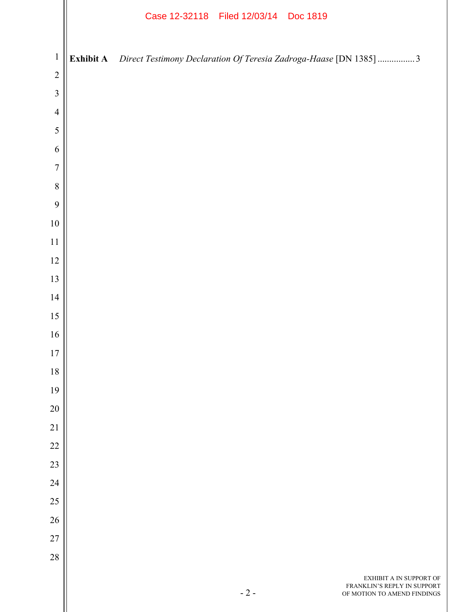|                  |                  | Case 12-32118 Filed 12/03/14 Doc 1819 |                                                                                       |
|------------------|------------------|---------------------------------------|---------------------------------------------------------------------------------------|
| $\mathbf{1}$     | <b>Exhibit A</b> |                                       | Direct Testimony Declaration Of Teresia Zadroga-Haase [DN 1385] 3                     |
| $\sqrt{2}$       |                  |                                       |                                                                                       |
| $\mathfrak{Z}$   |                  |                                       |                                                                                       |
| $\overline{4}$   |                  |                                       |                                                                                       |
| $\sqrt{5}$       |                  |                                       |                                                                                       |
| 6                |                  |                                       |                                                                                       |
| $\boldsymbol{7}$ |                  |                                       |                                                                                       |
| $\,8\,$          |                  |                                       |                                                                                       |
| 9                |                  |                                       |                                                                                       |
| $10\,$           |                  |                                       |                                                                                       |
| 11<br>12         |                  |                                       |                                                                                       |
| 13               |                  |                                       |                                                                                       |
| 14               |                  |                                       |                                                                                       |
| 15               |                  |                                       |                                                                                       |
| 16               |                  |                                       |                                                                                       |
| 17               |                  |                                       |                                                                                       |
| 18               |                  |                                       |                                                                                       |
| 19               |                  |                                       |                                                                                       |
| $20\,$           |                  |                                       |                                                                                       |
| 21               |                  |                                       |                                                                                       |
| $22\,$           |                  |                                       |                                                                                       |
| 23               |                  |                                       |                                                                                       |
| 24               |                  |                                       |                                                                                       |
| $25\,$           |                  |                                       |                                                                                       |
| 26               |                  |                                       |                                                                                       |
| $27\,$           |                  |                                       |                                                                                       |
| $28\,$           |                  |                                       |                                                                                       |
|                  |                  | $-2-$                                 | EXHIBIT A IN SUPPORT OF<br>FRANKLIN'S REPLY IN SUPPORT<br>OF MOTION TO AMEND FINDINGS |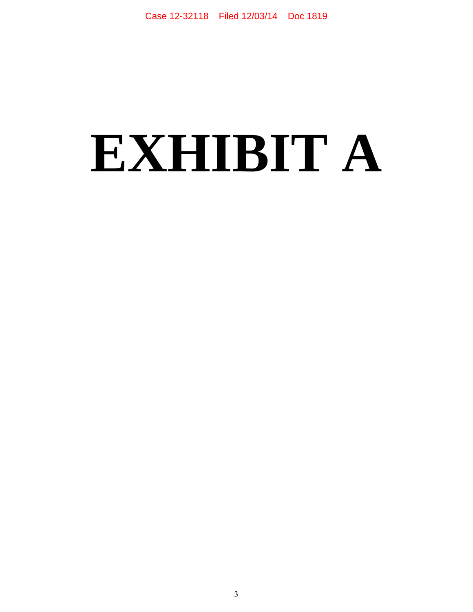## **EXHIBIT A**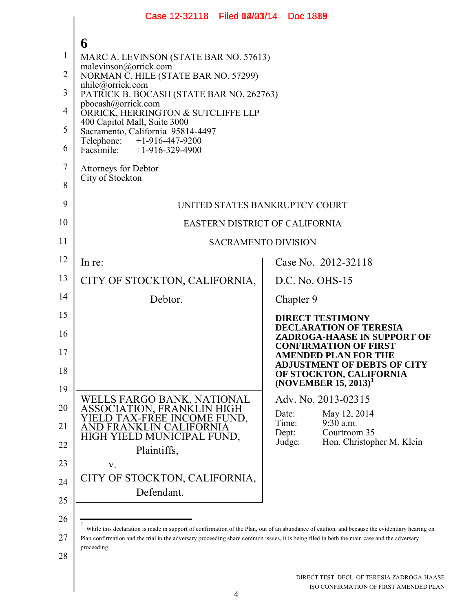|                | Case 12-32118 Filed 02/03/14 Doc 1889                                                                                                                     |  |                                                                   |  |  |
|----------------|-----------------------------------------------------------------------------------------------------------------------------------------------------------|--|-------------------------------------------------------------------|--|--|
|                |                                                                                                                                                           |  |                                                                   |  |  |
| 1              | 6<br>MARC A. LEVINSON (STATE BAR NO. 57613)                                                                                                               |  |                                                                   |  |  |
| $\overline{2}$ | malevinson@orrick.com<br>NORMAN C. HILE (STATE BAR NO. 57299)                                                                                             |  |                                                                   |  |  |
| 3              | $n$ hile@orrick.com                                                                                                                                       |  |                                                                   |  |  |
| 4              | PATRICK B. BOCASH (STATE BAR NO. 262763)<br>pbocash@orrick.com                                                                                            |  |                                                                   |  |  |
| 5              | ORRICK, HERRINGTON & SUTCLIFFE LLP<br>400 Capitol Mall, Suite 3000                                                                                        |  |                                                                   |  |  |
| 6              | Sacramento, California 95814-4497<br>Telephone: +1-916-447-9200<br>Facsimile: +1-916-329-4900                                                             |  |                                                                   |  |  |
| $\overline{7}$ | <b>Attorneys for Debtor</b>                                                                                                                               |  |                                                                   |  |  |
| 8              | City of Stockton                                                                                                                                          |  |                                                                   |  |  |
| 9              |                                                                                                                                                           |  |                                                                   |  |  |
| 10             | UNITED STATES BANKRUPTCY COURT<br>EASTERN DISTRICT OF CALIFORNIA                                                                                          |  |                                                                   |  |  |
| 11             |                                                                                                                                                           |  |                                                                   |  |  |
| 12             | <b>SACRAMENTO DIVISION</b>                                                                                                                                |  |                                                                   |  |  |
| 13             | In re:                                                                                                                                                    |  | Case No. 2012-32118                                               |  |  |
| 14             | CITY OF STOCKTON, CALIFORNIA,                                                                                                                             |  | $D.C. No. OHS-15$                                                 |  |  |
|                | Debtor.                                                                                                                                                   |  | Chapter 9                                                         |  |  |
| 15             |                                                                                                                                                           |  | <b>DIRECT TESTIMONY</b><br><b>DECLARATION OF TERESIA</b>          |  |  |
| 16             |                                                                                                                                                           |  | ZADROGA-HAASE IN SUPPORT OF<br><b>CONFIRMATION OF FIRST</b>       |  |  |
| 17             |                                                                                                                                                           |  | <b>AMENDED PLAN FOR THE</b><br><b>ADJUSTMENT OF DEBTS OF CITY</b> |  |  |
| 18             |                                                                                                                                                           |  | OF STOCKTON, CALIFORNIA<br>(NOVEMBER $15, 2013$ ) <sup>1</sup>    |  |  |
| 19             | WELLS FARGO BANK, NATIONAL                                                                                                                                |  | Adv. No. 2013-02315                                               |  |  |
| 20             | ASSOCIATION, FRANKLIN HIGH<br>ELD TAX-FREE INCOME FUND,                                                                                                   |  | Date:<br>May 12, 2014                                             |  |  |
| 21             | AND FRANKLIN CALIFORNIA<br>HIGH YIELD MUNICIPAL FUND,                                                                                                     |  | Time:<br>9:30 a.m.<br>Courtroom 35<br>Dept:                       |  |  |
| 22             | Plaintiffs,                                                                                                                                               |  | Judge:<br>Hon. Christopher M. Klein                               |  |  |
| 23             | V.                                                                                                                                                        |  |                                                                   |  |  |
| 24             | CITY OF STOCKTON, CALIFORNIA,<br>Defendant.                                                                                                               |  |                                                                   |  |  |
| 25             |                                                                                                                                                           |  |                                                                   |  |  |
| 26             | While this declaration is made in support of confirmation of the Plan, out of an abundance of caution, and because the evidentiary hearing on             |  |                                                                   |  |  |
| 27             | Plan confirmation and the trial in the adversary proceeding share common issues, it is being filed in both the main case and the adversary<br>proceeding. |  |                                                                   |  |  |
| 28             |                                                                                                                                                           |  |                                                                   |  |  |
|                |                                                                                                                                                           |  | DIRECT TEST. DECL. OF TERESIA ZADROGA-HAASE                       |  |  |
|                |                                                                                                                                                           |  | ISO CONFIRMATION OF FIRST AMENDED PLAN                            |  |  |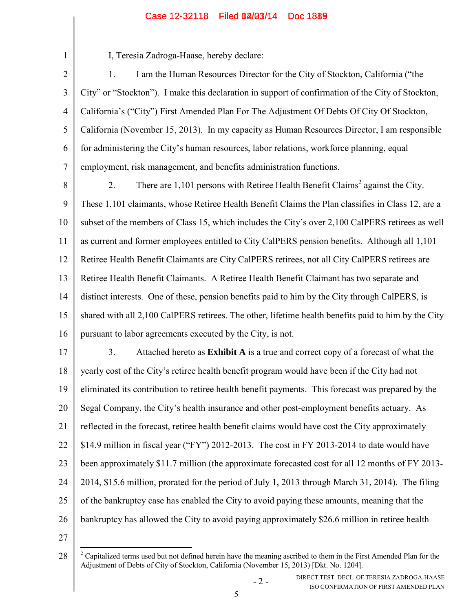## Case 12-32118 Filed 02/03/14 Doc 1889

2

1

I, Teresia Zadroga-Haase, hereby declare:

3 4 5 6 7 1. I am the Human Resources Director for the City of Stockton, California ("the City" or "Stockton"). I make this declaration in support of confirmation of the City of Stockton, California's ("City") First Amended Plan For The Adjustment Of Debts Of City Of Stockton, California (November 15, 2013). In my capacity as Human Resources Director, I am responsible for administering the City's human resources, labor relations, workforce planning, equal employment, risk management, and benefits administration functions.

8 9 10 11 12 13 14 15 16 2. There are 1,101 persons with Retiree Health Benefit Claims<sup>2</sup> against the City. These 1,101 claimants, whose Retiree Health Benefit Claims the Plan classifies in Class 12, are a subset of the members of Class 15, which includes the City's over 2,100 CalPERS retirees as well as current and former employees entitled to City CalPERS pension benefits. Although all 1,101 Retiree Health Benefit Claimants are City CalPERS retirees, not all City CalPERS retirees are Retiree Health Benefit Claimants. A Retiree Health Benefit Claimant has two separate and distinct interests. One of these, pension benefits paid to him by the City through CalPERS, is shared with all 2,100 CalPERS retirees. The other, lifetime health benefits paid to him by the City pursuant to labor agreements executed by the City, is not.

17 18 19 20 21 22 23 24 25 26 3. Attached hereto as **Exhibit A** is a true and correct copy of a forecast of what the yearly cost of the City's retiree health benefit program would have been if the City had not eliminated its contribution to retiree health benefit payments. This forecast was prepared by the Segal Company, the City's health insurance and other post-employment benefits actuary. As reflected in the forecast, retiree health benefit claims would have cost the City approximately \$14.9 million in fiscal year ("FY") 2012-2013. The cost in FY 2013-2014 to date would have been approximately \$11.7 million (the approximate forecasted cost for all 12 months of FY 2013- 2014, \$15.6 million, prorated for the period of July 1, 2013 through March 31, 2014). The filing of the bankruptcy case has enabled the City to avoid paying these amounts, meaning that the bankruptcy has allowed the City to avoid paying approximately \$26.6 million in retiree health

27

<sup>28</sup>  $2^2$  Capitalized terms used but not defined herein have the meaning ascribed to them in the First Amended Plan for the Adjustment of Debts of City of Stockton, California (November 15, 2013) [Dkt. No. 1204].

<sup>- 2 -</sup> DIRECT TEST. DECL. OF TERESIA ZADROGA-HAASE ISO CONFIRMATION OF FIRST AMENDED PLAN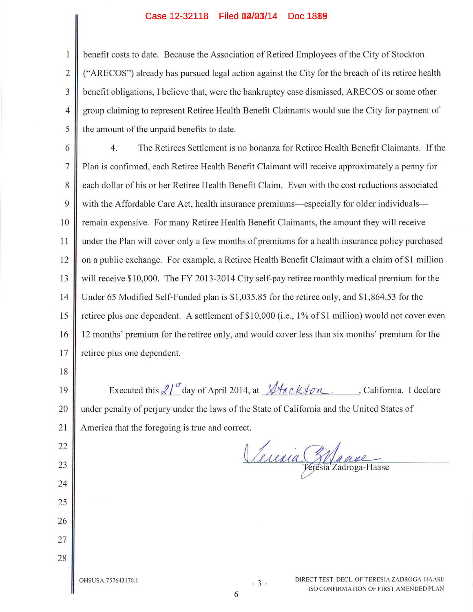### Case 12-32118 Filed 02/03/14 Doc 1889

benefit costs to date. Because the Association of Retired Employees of the City of Stockton ("ARECOS") already has pursued legal action against the City for the breach of its retiree health benefit obligations, I believe that, were the bankruptcy case dismissed, ARECOS or some other  $\overline{4}$ group claiming to represent Retiree Health Benefit Claimants would sue the City for payment of the amount of the unpaid benefits to date.

The Retirees Settlement is no bonanza for Retiree Health Benefit Claimants. If the 6 4.  $\overline{7}$ Plan is confirmed, each Retiree Health Benefit Claimant will receive approximately a penny for 8 each dollar of his or her Retiree Health Benefit Claim. Even with the cost reductions associated 9 with the Affordable Care Act, health insurance premiums—especially for older individuals— 10 remain expensive. For many Retiree Health Benefit Claimants, the amount they will receive 11 under the Plan will cover only a few months of premiums for a health insurance policy purchased on a public exchange. For example, a Retiree Health Benefit Claimant with a claim of \$1 million 12 will receive \$10,000. The FY 2013-2014 City self-pay retiree monthly medical premium for the 13  $14$ Under 65 Modified Self-Funded plan is \$1,035.85 for the retiree only, and \$1,864.53 for the retiree plus one dependent. A settlement of \$10,000 (i.e., 1% of \$1 million) would not cover even 15 16 12 months' premium for the retiree only, and would cover less than six months' premium for the 17 retiree plus one dependent.

18

22

23

24

25

26

27

28

1

 $\overline{2}$ 

3

5

Executed this  $2l^{t}$  day of April 2014, at  $\sqrt{4ack}$  on , California. I declare 19 under penalty of perjury under the laws of the State of California and the United States of 20 21 America that the foregoing is true and correct.

Leuria Etanse

OHSUSA: 757643170.1

 $-3-$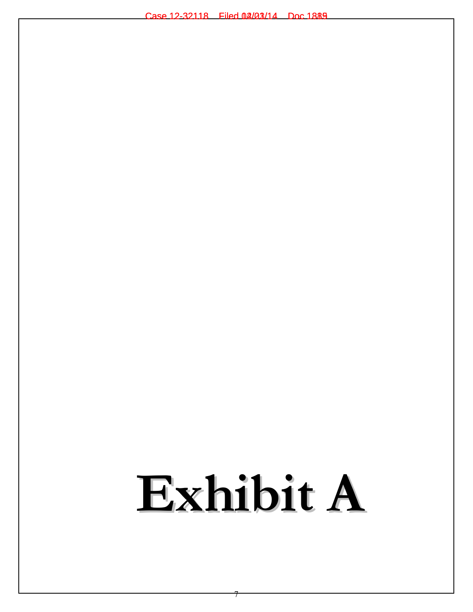# Exhibit A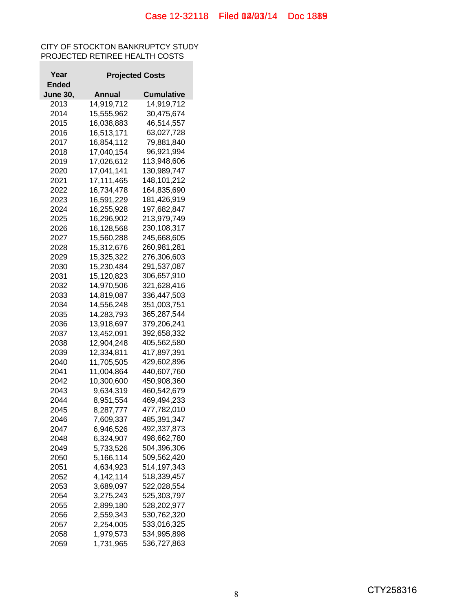## CITY OF STOCKTON BANKRUPTCY STUDY PROJECTED RETIREE HEALTH COSTS

| Year            |            | <b>Projected Costs</b> |
|-----------------|------------|------------------------|
| Ended           |            |                        |
| <b>June 30,</b> | Annual     | Cumulative             |
| 2013            | 14,919,712 | 14,919,712             |
| 2014            | 15,555,962 | 30,475,674             |
| 2015            | 16,038,883 | 46,514,557             |
| 2016            | 16,513,171 | 63,027,728             |
| 2017            | 16,854,112 | 79,881,840             |
| 2018            | 17,040,154 | 96,921,994             |
| 2019            | 17,026,612 | 113,948,606            |
| 2020            | 17,041,141 | 130,989,747            |
| 2021            | 17,111,465 | 148,101,212            |
|                 |            | 164,835,690            |
| 2022            | 16,734,478 |                        |
| 2023            | 16,591,229 | 181,426,919            |
| 2024            | 16,255,928 | 197,682,847            |
| 2025            | 16,296,902 | 213,979,749            |
| 2026            | 16,128,568 | 230,108,317            |
| 2027            | 15,560,288 | 245,668,605            |
| 2028            | 15,312,676 | 260,981,281            |
| 2029            | 15,325,322 | 276,306,603            |
| 2030            | 15,230,484 | 291,537,087            |
| 2031            | 15,120,823 | 306,657,910            |
| 2032            | 14,970,506 | 321,628,416            |
| 2033            | 14,819,087 | 336,447,503            |
| 2034            | 14,556,248 | 351,003,751            |
| 2035            | 14,283,793 | 365,287,544            |
| 2036            | 13,918,697 | 379,206,241            |
| 2037            | 13,452,091 | 392,658,332            |
| 2038            | 12,904,248 | 405,562,580            |
| 2039            | 12,334,811 | 417,897,391            |
| 2040            | 11,705,505 | 429,602,896            |
| 2041            | 11,004,864 | 440,607,760            |
| 2042            | 10,300,600 | 450,908,360            |
| 2043            | 9,634,319  | 460,542,679            |
| 2044            | 8,951,554  | 469,494,233            |
| 2045            | 8,287,777  | 477,782,010            |
| 2046            | 7,609,337  | 485,391,347            |
| 2047            | 6,946,526  | 492,337,873            |
| 2048            | 6,324,907  | 498,662,780            |
| 2049            | 5,733,526  | 504,396,306            |
| 2050            | 5,166,114  | 509,562,420            |
| 2051            | 4,634,923  | 514,197,343            |
| 2052            | 4,142,114  | 518,339,457            |
| 2053            | 3,689,097  | 522,028,554            |
|                 |            |                        |
| 2054            | 3,275,243  | 525,303,797            |
| 2055            | 2,899,180  | 528,202,977            |
| 2056            | 2,559,343  | 530,762,320            |
| 2057            | 2,254,005  | 533,016,325            |
| 2058            | 1,979,573  | 534,995,898            |
| 2059            | 1,731,965  | 536,727,863            |